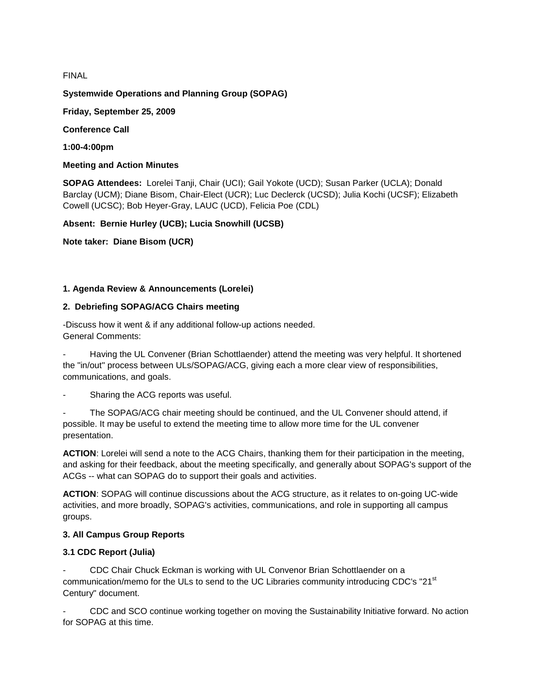FINAL

### **Systemwide Operations and Planning Group (SOPAG)**

**Friday, September 25, 2009**

**Conference Call**

**1:00-4:00pm**

#### **Meeting and Action Minutes**

**SOPAG Attendees:** Lorelei Tanji, Chair (UCI); Gail Yokote (UCD); Susan Parker (UCLA); Donald Barclay (UCM); Diane Bisom, Chair-Elect (UCR); Luc Declerck (UCSD); Julia Kochi (UCSF); Elizabeth Cowell (UCSC); Bob Heyer-Gray, LAUC (UCD), Felicia Poe (CDL)

**Absent: Bernie Hurley (UCB); Lucia Snowhill (UCSB)**

**Note taker: Diane Bisom (UCR)**

#### **1. Agenda Review & Announcements (Lorelei)**

#### **2. Debriefing SOPAG/ACG Chairs meeting**

-Discuss how it went & if any additional follow-up actions needed. General Comments:

- Having the UL Convener (Brian Schottlaender) attend the meeting was very helpful. It shortened the "in/out" process between ULs/SOPAG/ACG, giving each a more clear view of responsibilities, communications, and goals.

Sharing the ACG reports was useful.

The SOPAG/ACG chair meeting should be continued, and the UL Convener should attend, if possible. It may be useful to extend the meeting time to allow more time for the UL convener presentation.

**ACTION**: Lorelei will send a note to the ACG Chairs, thanking them for their participation in the meeting, and asking for their feedback, about the meeting specifically, and generally about SOPAG's support of the ACGs -- what can SOPAG do to support their goals and activities.

**ACTION**: SOPAG will continue discussions about the ACG structure, as it relates to on-going UC-wide activities, and more broadly, SOPAG's activities, communications, and role in supporting all campus groups.

#### **3. All Campus Group Reports**

### **3.1 CDC Report (Julia)**

- CDC Chair Chuck Eckman is working with UL Convenor Brian Schottlaender on a communication/memo for the ULs to send to the UC Libraries community introducing CDC's "21<sup>st</sup> Century" document.

- CDC and SCO continue working together on moving the Sustainability Initiative forward. No action for SOPAG at this time.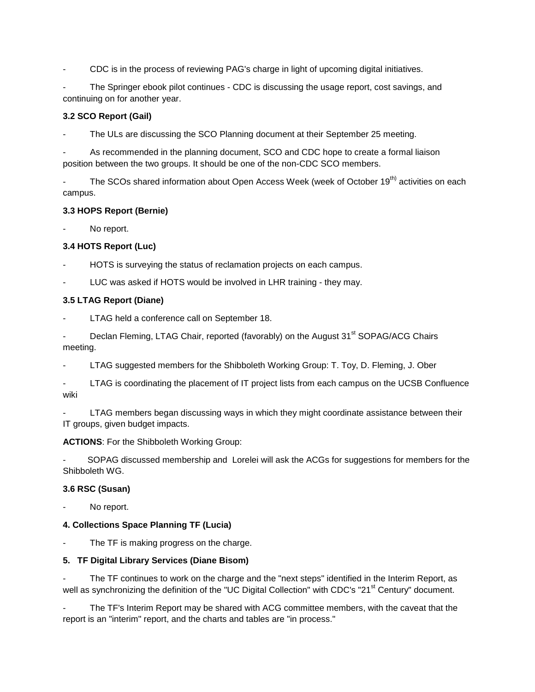- CDC is in the process of reviewing PAG's charge in light of upcoming digital initiatives.

The Springer ebook pilot continues - CDC is discussing the usage report, cost savings, and continuing on for another year.

### **3.2 SCO Report (Gail)**

The ULs are discussing the SCO Planning document at their September 25 meeting.

As recommended in the planning document, SCO and CDC hope to create a formal liaison position between the two groups. It should be one of the non-CDC SCO members.

The SCOs shared information about Open Access Week (week of October 19<sup>th)</sup> activities on each campus.

### **3.3 HOPS Report (Bernie)**

No report.

# **3.4 HOTS Report (Luc)**

- HOTS is surveying the status of reclamation projects on each campus.
- LUC was asked if HOTS would be involved in LHR training they may.

### **3.5 LTAG Report (Diane)**

- LTAG held a conference call on September 18.
- Declan Fleming, LTAG Chair, reported (favorably) on the August 31<sup>st</sup> SOPAG/ACG Chairs meeting.
- LTAG suggested members for the Shibboleth Working Group: T. Toy, D. Fleming, J. Ober
- LTAG is coordinating the placement of IT project lists from each campus on the UCSB Confluence wiki
- LTAG members began discussing ways in which they might coordinate assistance between their IT groups, given budget impacts.

### **ACTIONS**: For the Shibboleth Working Group:

- SOPAG discussed membership and Lorelei will ask the ACGs for suggestions for members for the Shibboleth WG.

### **3.6 RSC (Susan)**

No report.

# **4. Collections Space Planning TF (Lucia)**

The TF is making progress on the charge.

# **5. TF Digital Library Services (Diane Bisom)**

The TF continues to work on the charge and the "next steps" identified in the Interim Report, as well as synchronizing the definition of the "UC Digital Collection" with CDC's "21<sup>st</sup> Century" document.

The TF's Interim Report may be shared with ACG committee members, with the caveat that the report is an "interim" report, and the charts and tables are "in process."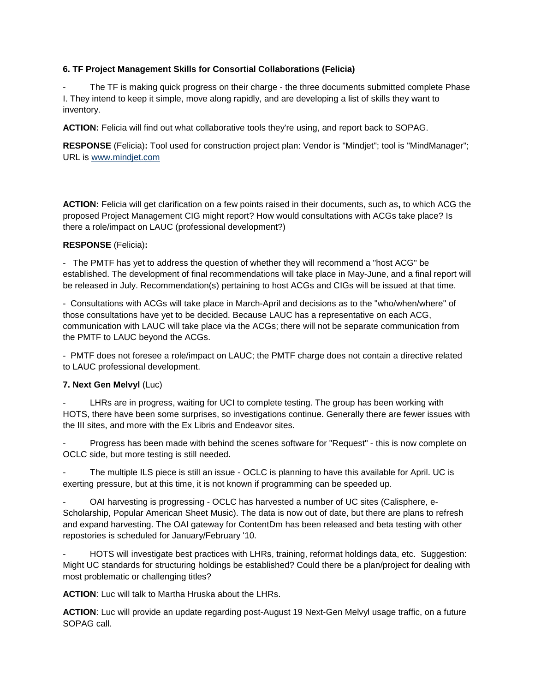### **6. TF Project Management Skills for Consortial Collaborations (Felicia)**

The TF is making quick progress on their charge - the three documents submitted complete Phase I. They intend to keep it simple, move along rapidly, and are developing a list of skills they want to inventory.

**ACTION:** Felicia will find out what collaborative tools they're using, and report back to SOPAG.

**RESPONSE** (Felicia)**:** Tool used for construction project plan: Vendor is "Mindjet"; tool is "MindManager"; URL is [www.mindjet.com](http://www.mindjet.com/)

**ACTION:** Felicia will get clarification on a few points raised in their documents, such as**,** to which ACG the proposed Project Management CIG might report? How would consultations with ACGs take place? Is there a role/impact on LAUC (professional development?)

### **RESPONSE** (Felicia)**:**

- The PMTF has yet to address the question of whether they will recommend a "host ACG" be established. The development of final recommendations will take place in May-June, and a final report will be released in July. Recommendation(s) pertaining to host ACGs and CIGs will be issued at that time.

- Consultations with ACGs will take place in March-April and decisions as to the "who/when/where" of those consultations have yet to be decided. Because LAUC has a representative on each ACG, communication with LAUC will take place via the ACGs; there will not be separate communication from the PMTF to LAUC beyond the ACGs.

- PMTF does not foresee a role/impact on LAUC; the PMTF charge does not contain a directive related to LAUC professional development.

# **7. Next Gen Melvyl** (Luc)

LHRs are in progress, waiting for UCI to complete testing. The group has been working with HOTS, there have been some surprises, so investigations continue. Generally there are fewer issues with the III sites, and more with the Ex Libris and Endeavor sites.

Progress has been made with behind the scenes software for "Request" - this is now complete on OCLC side, but more testing is still needed.

The multiple ILS piece is still an issue - OCLC is planning to have this available for April. UC is exerting pressure, but at this time, it is not known if programming can be speeded up.

OAI harvesting is progressing - OCLC has harvested a number of UC sites (Calisphere, e-Scholarship, Popular American Sheet Music). The data is now out of date, but there are plans to refresh and expand harvesting. The OAI gateway for ContentDm has been released and beta testing with other repostories is scheduled for January/February '10.

- HOTS will investigate best practices with LHRs, training, reformat holdings data, etc. Suggestion: Might UC standards for structuring holdings be established? Could there be a plan/project for dealing with most problematic or challenging titles?

**ACTION**: Luc will talk to Martha Hruska about the LHRs.

**ACTION**: Luc will provide an update regarding post-August 19 Next-Gen Melvyl usage traffic, on a future SOPAG call.